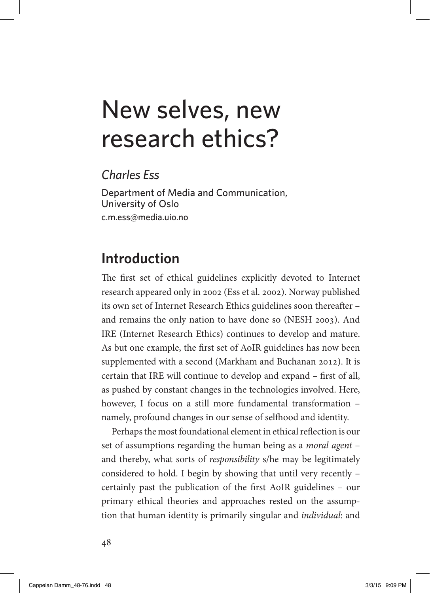# New selves, new research ethics?

#### *Charles Ess*

Department of Media and Communication, University of Oslo [c.m.ess@media.uio.no](mailto:c.m.ess@media.uio.no)

#### **Introduction**

The first set of ethical guidelines explicitly devoted to Internet research appeared only in 2002 (Ess et al. 2002). Norway published its own set of Internet Research Ethics guidelines soon thereafter – and remains the only nation to have done so (NESH 2003). And IRE (Internet Research Ethics) continues to develop and mature. As but one example, the first set of AoIR guidelines has now been supplemented with a second (Markham and Buchanan 2012). It is certain that IRE will continue to develop and expand – first of all, as pushed by constant changes in the technologies involved. Here, however. I focus on a still more fundamental transformation – namely, profound changes in our sense of selfhood and identity.

Perhaps the most foundational element in ethical reflection is our set of assumptions regarding the human being as a *moral agent* – and thereby, what sorts of *responsibility* s/he may be legitimately considered to hold. I begin by showing that until very recently – certainly past the publication of the first AoIR guidelines – our primary ethical theories and approaches rested on the assumption that human identity is primarily singular and *individual*: and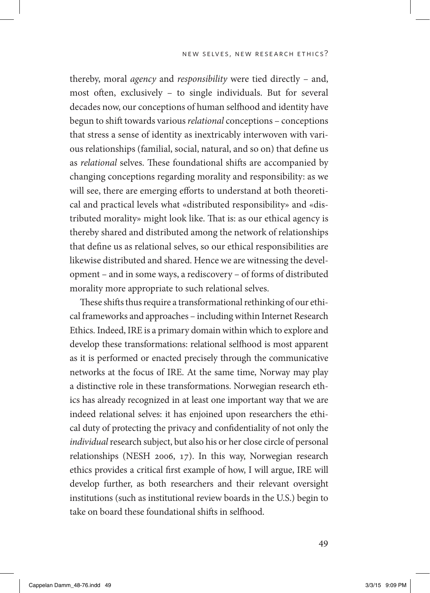thereby, moral *agency* and *responsibility* were tied directly – and, most often, exclusively – to single individuals. But for several decades now, our conceptions of human selfhood and identity have begun to shift towards various *relational* conceptions – conceptions that stress a sense of identity as inextricably interwoven with various relationships (familial, social, natural, and so on) that define us as *relational* selves. These foundational shifts are accompanied by changing conceptions regarding morality and responsibility: as we will see, there are emerging efforts to understand at both theoretical and practical levels what «distributed responsibility» and «distributed morality» might look like. That is: as our ethical agency is thereby shared and distributed among the network of relationships that define us as relational selves, so our ethical responsibilities are likewise distributed and shared. Hence we are witnessing the development – and in some ways, a rediscovery – of forms of distributed morality more appropriate to such relational selves.

These shifts thus require a transformational rethinking of our ethical frameworks and approaches – including within Internet Research Ethics. Indeed, IRE is a primary domain within which to explore and develop these transformations: relational selfhood is most apparent as it is performed or enacted precisely through the communicative networks at the focus of IRE. At the same time, Norway may play a distinctive role in these transformations. Norwegian research ethics has already recognized in at least one important way that we are indeed relational selves: it has enjoined upon researchers the ethical duty of protecting the privacy and confidentiality of not only the *individual* research subject, but also his or her close circle of personal relationships (NESH 2006, 17). In this way, Norwegian research ethics provides a critical first example of how, I will argue, IRE will develop further, as both researchers and their relevant oversight institutions (such as institutional review boards in the U.S.) begin to take on board these foundational shifts in selfhood.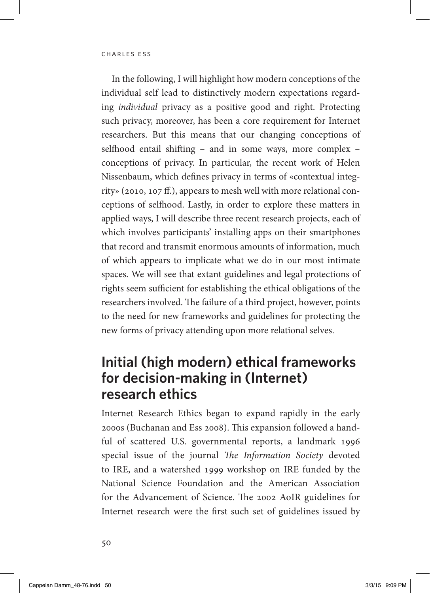In the following, I will highlight how modern conceptions of the individual self lead to distinctively modern expectations regarding *individual* privacy as a positive good and right. Protecting such privacy, moreover, has been a core requirement for Internet researchers. But this means that our changing conceptions of selfhood entail shifting – and in some ways, more complex – conceptions of privacy. In particular, the recent work of Helen Nissenbaum, which defines privacy in terms of «contextual integrity» (2010, 107 ff.), appears to mesh well with more relational conceptions of selfhood. Lastly, in order to explore these matters in applied ways, I will describe three recent research projects, each of which involves participants' installing apps on their smartphones that record and transmit enormous amounts of information, much of which appears to implicate what we do in our most intimate spaces. We will see that extant guidelines and legal protections of rights seem sufficient for establishing the ethical obligations of the researchers involved. The failure of a third project, however, points to the need for new frameworks and guidelines for protecting the new forms of privacy attending upon more relational selves.

#### **Initial (high modern) ethical frameworks for decision-making in (Internet) research ethics**

Internet Research Ethics began to expand rapidly in the early 2000s (Buchanan and Ess 2008). This expansion followed a handful of scattered U.S. governmental reports, a landmark 1996 special issue of the journal *The Information Society* devoted to IRE, and a watershed 1999 workshop on IRE funded by the National Science Foundation and the American Association for the Advancement of Science. The 2002 AoIR guidelines for Internet research were the first such set of guidelines issued by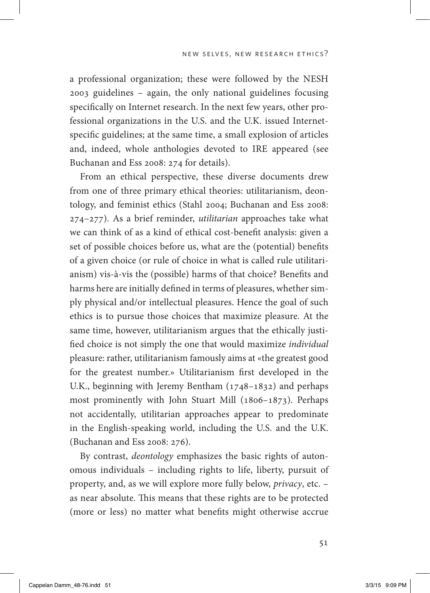a professional organization; these were followed by the NESH 2003 guidelines – again, the only national guidelines focusing specifically on Internet research. In the next few years, other professional organizations in the U.S. and the U.K. issued Internetspecific guidelines; at the same time, a small explosion of articles and, indeed, whole anthologies devoted to IRE appeared (see Buchanan and Ess 2008: 274 for details).

From an ethical perspective, these diverse documents drew from one of three primary ethical theories: utilitarianism, deontology, and feminist ethics (Stahl 2004; Buchanan and Ess 2008: 274–277). As a brief reminder, *utilitarian* approaches take what we can think of as a kind of ethical cost-benefit analysis: given a set of possible choices before us, what are the (potential) benefits of a given choice (or rule of choice in what is called rule utilitarianism) vis-à-vis the (possible) harms of that choice? Benefits and harms here are initially defined in terms of pleasures, whether simply physical and/or intellectual pleasures. Hence the goal of such ethics is to pursue those choices that maximize pleasure. At the same time, however, utilitarianism argues that the ethically justified choice is not simply the one that would maximize *individual* pleasure: rather, utilitarianism famously aims at «the greatest good for the greatest number.» Utilitarianism first developed in the U.K., beginning with Jeremy Bentham (1748–1832) and perhaps most prominently with John Stuart Mill (1806–1873). Perhaps not accidentally, utilitarian approaches appear to predominate in the English-speaking world, including the U.S. and the U.K. (Buchanan and Ess 2008: 276).

By contrast, *deontology* emphasizes the basic rights of autonomous individuals – including rights to life, liberty, pursuit of property, and, as we will explore more fully below, *privacy*, etc. – as near absolute. This means that these rights are to be protected (more or less) no matter what benefits might otherwise accrue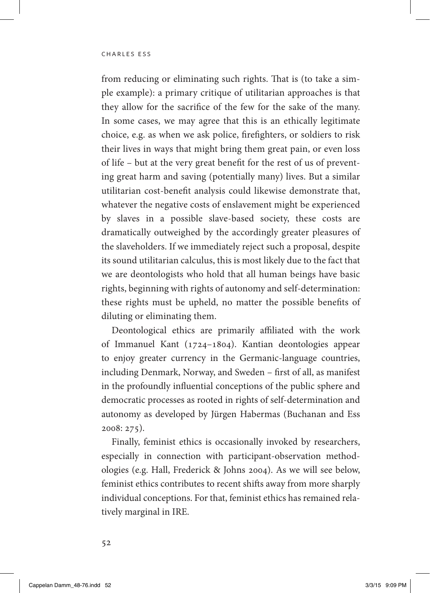from reducing or eliminating such rights. That is (to take a simple example): a primary critique of utilitarian approaches is that they allow for the sacrifice of the few for the sake of the many. In some cases, we may agree that this is an ethically legitimate choice, e.g. as when we ask police, firefighters, or soldiers to risk their lives in ways that might bring them great pain, or even loss of life – but at the very great benefit for the rest of us of preventing great harm and saving (potentially many) lives. But a similar utilitarian cost-benefit analysis could likewise demonstrate that, whatever the negative costs of enslavement might be experienced by slaves in a possible slave-based society, these costs are dramatically outweighed by the accordingly greater pleasures of the slaveholders. If we immediately reject such a proposal, despite its sound utilitarian calculus, this is most likely due to the fact that we are deontologists who hold that all human beings have basic rights, beginning with rights of autonomy and self-determination: these rights must be upheld, no matter the possible benefits of diluting or eliminating them.

Deontological ethics are primarily affiliated with the work of Immanuel Kant (1724–1804). Kantian deontologies appear to enjoy greater currency in the Germanic-language countries, including Denmark, Norway, and Sweden – first of all, as manifest in the profoundly influential conceptions of the public sphere and democratic processes as rooted in rights of self-determination and autonomy as developed by Jürgen Habermas (Buchanan and Ess 2008: 275).

Finally, feminist ethics is occasionally invoked by researchers, especially in connection with participant-observation methodologies (e.g. Hall, Frederick & Johns 2004). As we will see below, feminist ethics contributes to recent shifts away from more sharply individual conceptions. For that, feminist ethics has remained relatively marginal in IRE.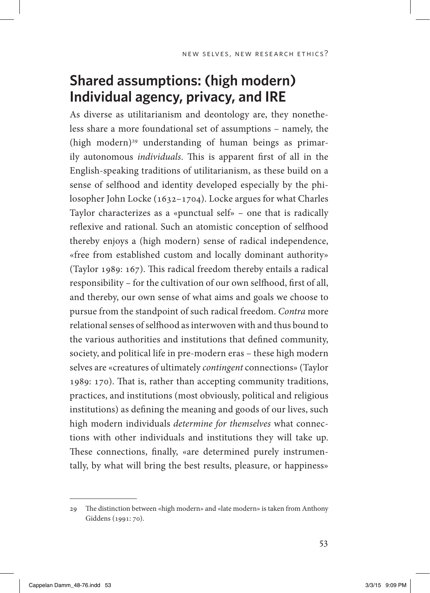### **Shared assumptions: (high modern) Individual agency, privacy, and IRE**

As diverse as utilitarianism and deontology are, they nonetheless share a more foundational set of assumptions – namely, the (high modern)<sup>29</sup> understanding of human beings as primarily autonomous *individuals*. This is apparent first of all in the English-speaking traditions of utilitarianism, as these build on a sense of selfhood and identity developed especially by the philosopher John Locke (1632–1704). Locke argues for what Charles Taylor characterizes as a «punctual self» – one that is radically reflexive and rational. Such an atomistic conception of selfhood thereby enjoys a (high modern) sense of radical independence, «free from established custom and locally dominant authority» (Taylor 1989: 167). This radical freedom thereby entails a radical responsibility – for the cultivation of our own selfhood, first of all, and thereby, our own sense of what aims and goals we choose to pursue from the standpoint of such radical freedom. *Contra* more relational senses of selfhood as interwoven with and thus bound to the various authorities and institutions that defined community, society, and political life in pre-modern eras – these high modern selves are «creatures of ultimately *contingent* connections» (Taylor 1989: 170). That is, rather than accepting community traditions, practices, and institutions (most obviously, political and religious institutions) as defining the meaning and goods of our lives, such high modern individuals *determine for themselves* what connections with other individuals and institutions they will take up. These connections, finally, «are determined purely instrumentally, by what will bring the best results, pleasure, or happiness»

<sup>29</sup> The distinction between «high modern» and «late modern» is taken from Anthony Giddens (1991: 70).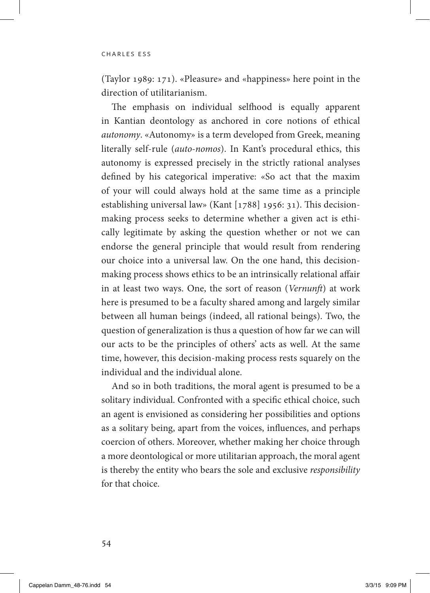charles ess

(Taylor 1989: 171). «Pleasure» and «happiness» here point in the direction of utilitarianism.

The emphasis on individual selfhood is equally apparent in Kantian deontology as anchored in core notions of ethical *autonomy*. «Autonomy» is a term developed from Greek, meaning literally self-rule (*auto-nomos*). In Kant's procedural ethics, this autonomy is expressed precisely in the strictly rational analyses defined by his categorical imperative: «So act that the maxim of your will could always hold at the same time as a principle establishing universal law» (Kant [1788] 1956: 31). This decisionmaking process seeks to determine whether a given act is ethically legitimate by asking the question whether or not we can endorse the general principle that would result from rendering our choice into a universal law. On the one hand, this decisionmaking process shows ethics to be an intrinsically relational affair in at least two ways. One, the sort of reason (*Vernunft*) at work here is presumed to be a faculty shared among and largely similar between all human beings (indeed, all rational beings). Two, the question of generalization is thus a question of how far we can will our acts to be the principles of others' acts as well. At the same time, however, this decision-making process rests squarely on the individual and the individual alone.

And so in both traditions, the moral agent is presumed to be a solitary individual. Confronted with a specific ethical choice, such an agent is envisioned as considering her possibilities and options as a solitary being, apart from the voices, influences, and perhaps coercion of others. Moreover, whether making her choice through a more deontological or more utilitarian approach, the moral agent is thereby the entity who bears the sole and exclusive *responsibility* for that choice.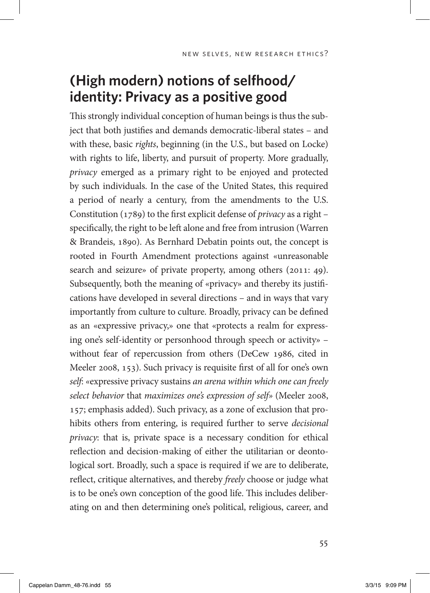## **(High modern) notions of selfhood/ identity: Privacy as a positive good**

This strongly individual conception of human beings is thus the subject that both justifies and demands democratic-liberal states – and with these, basic *rights*, beginning (in the U.S., but based on Locke) with rights to life, liberty, and pursuit of property. More gradually, *privacy* emerged as a primary right to be enjoyed and protected by such individuals. In the case of the United States, this required a period of nearly a century, from the amendments to the U.S. Constitution (1789) to the first explicit defense of *privacy* as a right – specifically, the right to be left alone and free from intrusion (Warren & Brandeis, 1890). As Bernhard Debatin points out, the concept is rooted in Fourth Amendment protections against «unreasonable search and seizure» of private property, among others (2011: 49). Subsequently, both the meaning of «privacy» and thereby its justifications have developed in several directions – and in ways that vary importantly from culture to culture. Broadly, privacy can be defined as an «expressive privacy,» one that «protects a realm for expressing one's self-identity or personhood through speech or activity» – without fear of repercussion from others (DeCew 1986, cited in Meeler 2008, 153). Such privacy is requisite first of all for one's own *self*: *«*expressive privacy sustains *an arena within which one can freely select behavior* that *maximizes one's expression of self»* (Meeler 2008, 157; emphasis added). Such privacy, as a zone of exclusion that prohibits others from entering, is required further to serve *decisional privacy*: that is, private space is a necessary condition for ethical reflection and decision-making of either the utilitarian or deontological sort. Broadly, such a space is required if we are to deliberate, reflect, critique alternatives, and thereby *freely* choose or judge what is to be one's own conception of the good life. This includes deliberating on and then determining one's political, religious, career, and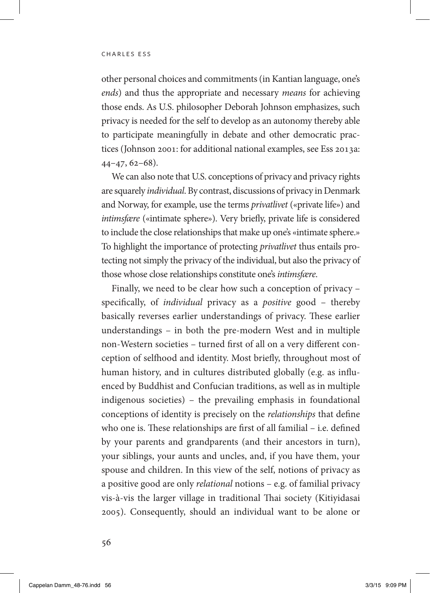other personal choices and commitments (in Kantian language, one's *ends*) and thus the appropriate and necessary *means* for achieving those ends. As U.S. philosopher Deborah Johnson emphasizes, such privacy is needed for the self to develop as an autonomy thereby able to participate meaningfully in debate and other democratic practices (Johnson 2001: for additional national examples, see Ess 2013a: 44–47, 62–68).

We can also note that U.S. conceptions of privacy and privacy rights are squarely *individual*. By contrast, discussions of privacy in Denmark and Norway, for example, use the terms *privatlivet* («private life») and *intimsfære* («intimate sphere»). Very briefly, private life is considered to include the close relationships that make up one's «intimate sphere.» To highlight the importance of protecting *privatlivet* thus entails protecting not simply the privacy of the individual, but also the privacy of those whose close relationships constitute one's *intimsfære*.

Finally, we need to be clear how such a conception of privacy – specifically, of *individual* privacy as a *positive* good – thereby basically reverses earlier understandings of privacy. These earlier understandings – in both the pre-modern West and in multiple non-Western societies – turned first of all on a very different conception of selfhood and identity. Most briefly, throughout most of human history, and in cultures distributed globally (e.g. as influenced by Buddhist and Confucian traditions, as well as in multiple indigenous societies) – the prevailing emphasis in foundational conceptions of identity is precisely on the *relationships* that define who one is. These relationships are first of all familial – i.e. defined by your parents and grandparents (and their ancestors in turn), your siblings, your aunts and uncles, and, if you have them, your spouse and children. In this view of the self, notions of privacy as a positive good are only *relational* notions – e.g. of familial privacy vis-à-vis the larger village in traditional Thai society (Kitiyidasai 2005). Consequently, should an individual want to be alone or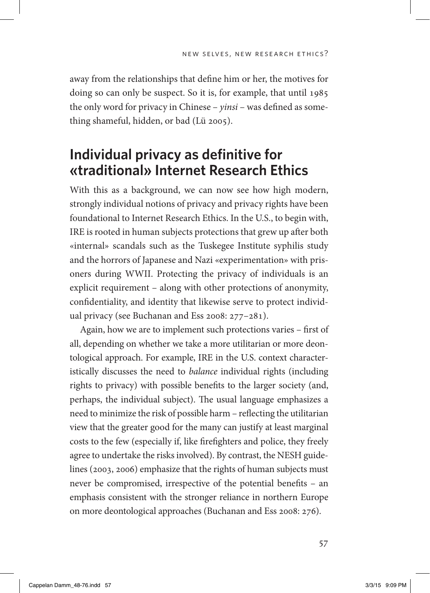away from the relationships that define him or her, the motives for doing so can only be suspect. So it is, for example, that until 1985 the only word for privacy in Chinese – *yinsi* – was defined as something shameful, hidden, or bad (Lü 2005).

#### **Individual privacy as definitive for «traditional» Internet Research Ethics**

With this as a background, we can now see how high modern, strongly individual notions of privacy and privacy rights have been foundational to Internet Research Ethics. In the U.S., to begin with, IRE is rooted in human subjects protections that grew up after both «internal» scandals such as the Tuskegee Institute syphilis study and the horrors of Japanese and Nazi «experimentation» with prisoners during WWII. Protecting the privacy of individuals is an explicit requirement – along with other protections of anonymity, confidentiality, and identity that likewise serve to protect individual privacy (see Buchanan and Ess 2008: 277–281).

Again, how we are to implement such protections varies – first of all, depending on whether we take a more utilitarian or more deontological approach. For example, IRE in the U.S. context characteristically discusses the need to *balance* individual rights (including rights to privacy) with possible benefits to the larger society (and, perhaps, the individual subject). The usual language emphasizes a need to minimize the risk of possible harm – reflecting the utilitarian view that the greater good for the many can justify at least marginal costs to the few (especially if, like firefighters and police, they freely agree to undertake the risks involved). By contrast, the NESH guidelines (2003, 2006) emphasize that the rights of human subjects must never be compromised, irrespective of the potential benefits – an emphasis consistent with the stronger reliance in northern Europe on more deontological approaches (Buchanan and Ess 2008: 276).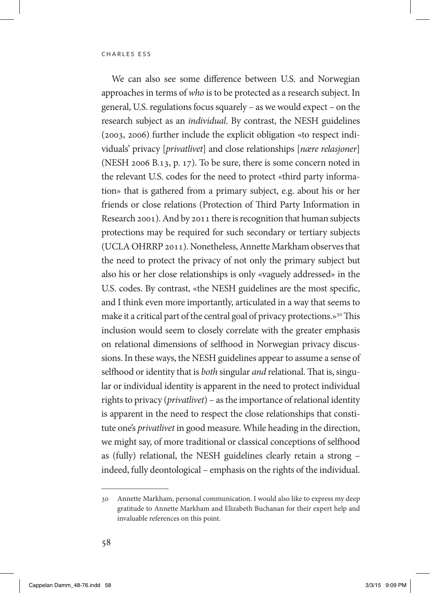We can also see some difference between U.S. and Norwegian approaches in terms of *who* is to be protected as a research subject. In general, U.S. regulations focus squarely – as we would expect – on the research subject as an *individual*. By contrast, the NESH guidelines (2003, 2006) further include the explicit obligation «to respect individuals' privacy [*privatlivet*] and close relationships [*nære relasjoner*] (NESH 2006 B.13, p. 17). To be sure, there is some concern noted in the relevant U.S. codes for the need to protect «third party information» that is gathered from a primary subject, e.g. about his or her friends or close relations (Protection of Third Party Information in Research 2001). And by 2011 there is recognition that human subjects protections may be required for such secondary or tertiary subjects (UCLA OHRRP 2011). Nonetheless, Annette Markham observes that the need to protect the privacy of not only the primary subject but also his or her close relationships is only «vaguely addressed» in the U.S. codes. By contrast, «the NESH guidelines are the most specific, and I think even more importantly, articulated in a way that seems to make it a critical part of the central goal of privacy protections.»<sup>30</sup> This inclusion would seem to closely correlate with the greater emphasis on relational dimensions of selfhood in Norwegian privacy discussions. In these ways, the NESH guidelines appear to assume a sense of selfhood or identity that is *both* singular *and* relational. That is, singular or individual identity is apparent in the need to protect individual rights to privacy (*privatlivet*) – as the importance of relational identity is apparent in the need to respect the close relationships that constitute one's *privatlivet* in good measure. While heading in the direction, we might say, of more traditional or classical conceptions of selfhood as (fully) relational, the NESH guidelines clearly retain a strong – indeed, fully deontological – emphasis on the rights of the individual.

<sup>30</sup> Annette Markham, personal communication. I would also like to express my deep gratitude to Annette Markham and Elizabeth Buchanan for their expert help and invaluable references on this point.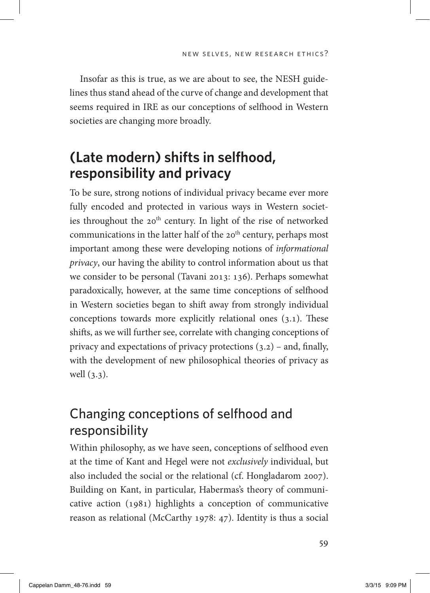Insofar as this is true, as we are about to see, the NESH guidelines thus stand ahead of the curve of change and development that seems required in IRE as our conceptions of selfhood in Western societies are changing more broadly.

#### **(Late modern) shifts in selfhood, responsibility and privacy**

To be sure, strong notions of individual privacy became ever more fully encoded and protected in various ways in Western societies throughout the 20<sup>th</sup> century. In light of the rise of networked communications in the latter half of the 20<sup>th</sup> century, perhaps most important among these were developing notions of *informational privacy*, our having the ability to control information about us that we consider to be personal (Tavani 2013: 136). Perhaps somewhat paradoxically, however, at the same time conceptions of selfhood in Western societies began to shift away from strongly individual conceptions towards more explicitly relational ones (3.1). These shifts, as we will further see, correlate with changing conceptions of privacy and expectations of privacy protections (3.2) – and, finally, with the development of new philosophical theories of privacy as well (3.3).

#### Changing conceptions of selfhood and responsibility

Within philosophy, as we have seen, conceptions of selfhood even at the time of Kant and Hegel were not *exclusively* individual, but also included the social or the relational (cf. Hongladarom 2007). Building on Kant, in particular, Habermas's theory of communicative action (1981) highlights a conception of communicative reason as relational (McCarthy 1978: 47). Identity is thus a social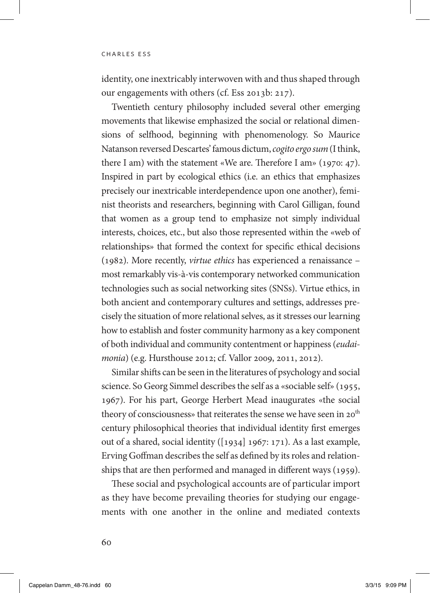#### charles ess

identity, one inextricably interwoven with and thus shaped through our engagements with others (cf. Ess 2013b: 217).

Twentieth century philosophy included several other emerging movements that likewise emphasized the social or relational dimensions of selfhood, beginning with phenomenology. So Maurice Natanson reversed Descartes' famous dictum, *cogito ergo sum* (I think, there I am) with the statement «We are. Therefore I am» (1970: 47). Inspired in part by ecological ethics (i.e. an ethics that emphasizes precisely our inextricable interdependence upon one another), feminist theorists and researchers, beginning with Carol Gilligan, found that women as a group tend to emphasize not simply individual interests, choices, etc., but also those represented within the «web of relationships» that formed the context for specific ethical decisions (1982). More recently, *virtue ethics* has experienced a renaissance – most remarkably vis-à-vis contemporary networked communication technologies such as social networking sites (SNSs). Virtue ethics, in both ancient and contemporary cultures and settings, addresses precisely the situation of more relational selves, as it stresses our learning how to establish and foster community harmony as a key component of both individual and community contentment or happiness (*eudaimonia*) (e.g. Hursthouse 2012; cf. Vallor 2009, 2011, 2012).

Similar shifts can be seen in the literatures of psychology and social science. So Georg Simmel describes the self as a «sociable self» (1955, 1967). For his part, George Herbert Mead inaugurates «the social theory of consciousness» that reiterates the sense we have seen in 20<sup>th</sup> century philosophical theories that individual identity first emerges out of a shared, social identity ([1934] 1967: 171). As a last example, Erving Goffman describes the self as defined by its roles and relationships that are then performed and managed in different ways (1959).

These social and psychological accounts are of particular import as they have become prevailing theories for studying our engagements with one another in the online and mediated contexts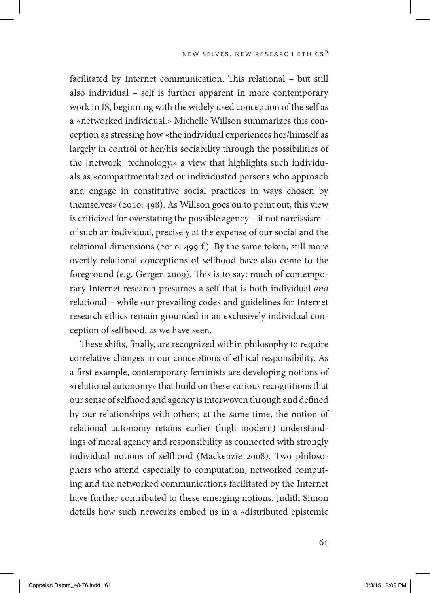facilitated by Internet communication. This relational – but still also individual – self is further apparent in more contemporary work in IS, beginning with the widely used conception of the self as a «networked individual.» Michelle Willson summarizes this conception as stressing how «the individual experiences her/himself as largely in control of her/his sociability through the possibilities of the [network] technology,» a view that highlights such individuals as «compartmentalized or individuated persons who approach and engage in constitutive social practices in ways chosen by themselves» (2010: 498). As Willson goes on to point out, this view is criticized for overstating the possible agency – if not narcissism – of such an individual, precisely at the expense of our social and the relational dimensions (2010: 499 f.). By the same token, still more overtly relational conceptions of selfhood have also come to the foreground (e.g. Gergen 2009). This is to say: much of contemporary Internet research presumes a self that is both individual *and* relational – while our prevailing codes and guidelines for Internet research ethics remain grounded in an exclusively individual conception of selfhood, as we have seen.

These shifts, finally, are recognized within philosophy to require correlative changes in our conceptions of ethical responsibility. As a first example, contemporary feminists are developing notions of «relational autonomy» that build on these various recognitions that our sense of selfhood and agency is interwoven through and defined by our relationships with others; at the same time, the notion of relational autonomy retains earlier (high modern) understandings of moral agency and responsibility as connected with strongly individual notions of selfhood (Mackenzie 2008). Two philosophers who attend especially to computation, networked computing and the networked communications facilitated by the Internet have further contributed to these emerging notions. Judith Simon details how such networks embed us in a «distributed epistemic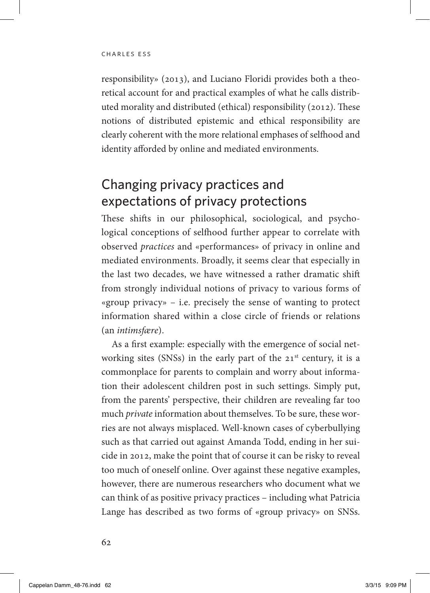responsibility» (2013), and Luciano Floridi provides both a theoretical account for and practical examples of what he calls distributed morality and distributed (ethical) responsibility (2012). These notions of distributed epistemic and ethical responsibility are clearly coherent with the more relational emphases of selfhood and identity afforded by online and mediated environments.

#### Changing privacy practices and expectations of privacy protections

These shifts in our philosophical, sociological, and psychological conceptions of selfhood further appear to correlate with observed *practices* and «performances» of privacy in online and mediated environments. Broadly, it seems clear that especially in the last two decades, we have witnessed a rather dramatic shift from strongly individual notions of privacy to various forms of «group privacy» – i.e. precisely the sense of wanting to protect information shared within a close circle of friends or relations (an *intimsfære*).

As a first example: especially with the emergence of social networking sites (SNSs) in the early part of the  $21<sup>st</sup>$  century, it is a commonplace for parents to complain and worry about information their adolescent children post in such settings. Simply put, from the parents' perspective, their children are revealing far too much *private* information about themselves. To be sure, these worries are not always misplaced. Well-known cases of cyberbullying such as that carried out against Amanda Todd, ending in her suicide in 2012, make the point that of course it can be risky to reveal too much of oneself online. Over against these negative examples, however, there are numerous researchers who document what we can think of as positive privacy practices – including what Patricia Lange has described as two forms of «group privacy» on SNSs.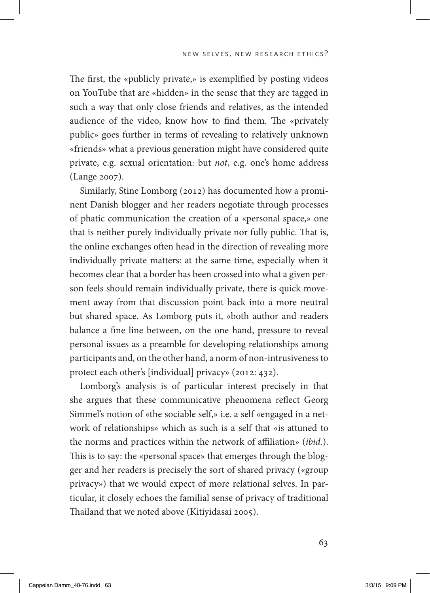The first, the «publicly private,» is exemplified by posting videos on YouTube that are «hidden» in the sense that they are tagged in such a way that only close friends and relatives, as the intended audience of the video, know how to find them. The «privately public» goes further in terms of revealing to relatively unknown «friends» what a previous generation might have considered quite private, e.g. sexual orientation: but *not*, e.g. one's home address (Lange 2007).

Similarly, Stine Lomborg (2012) has documented how a prominent Danish blogger and her readers negotiate through processes of phatic communication the creation of a «personal space,» one that is neither purely individually private nor fully public. That is, the online exchanges often head in the direction of revealing more individually private matters: at the same time, especially when it becomes clear that a border has been crossed into what a given person feels should remain individually private, there is quick movement away from that discussion point back into a more neutral but shared space. As Lomborg puts it, «both author and readers balance a fine line between, on the one hand, pressure to reveal personal issues as a preamble for developing relationships among participants and, on the other hand, a norm of non-intrusiveness to protect each other's [individual] privacy» (2012: 432).

Lomborg's analysis is of particular interest precisely in that she argues that these communicative phenomena reflect Georg Simmel's notion of «the sociable self,» i.e. a self «engaged in a network of relationships» which as such is a self that «is attuned to the norms and practices within the network of affiliation» (*ibid.*). This is to say: the «personal space» that emerges through the blogger and her readers is precisely the sort of shared privacy («group privacy») that we would expect of more relational selves. In particular, it closely echoes the familial sense of privacy of traditional Thailand that we noted above (Kitiyidasai 2005).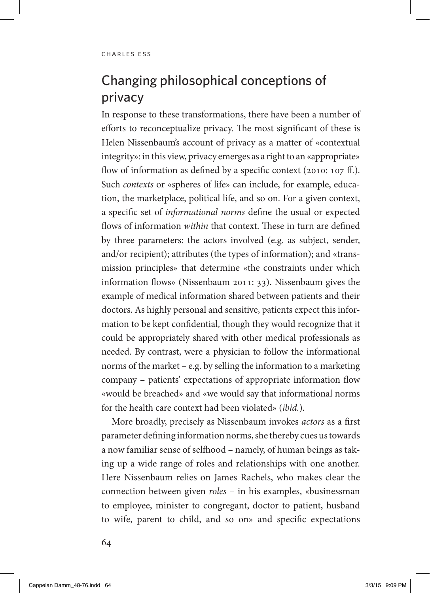#### Changing philosophical conceptions of privacy

In response to these transformations, there have been a number of efforts to reconceptualize privacy. The most significant of these is Helen Nissenbaum's account of privacy as a matter of «contextual integrity»: in this view, privacy emerges as a right to an «appropriate» flow of information as defined by a specific context (2010: 107 ff.). Such *contexts* or «spheres of life» can include, for example, education, the marketplace, political life, and so on. For a given context, a specific set of *informational norms* define the usual or expected flows of information *within* that context. These in turn are defined by three parameters: the actors involved (e.g. as subject, sender, and/or recipient); attributes (the types of information); and «transmission principles» that determine «the constraints under which information flows» (Nissenbaum 2011: 33). Nissenbaum gives the example of medical information shared between patients and their doctors. As highly personal and sensitive, patients expect this information to be kept confidential, though they would recognize that it could be appropriately shared with other medical professionals as needed. By contrast, were a physician to follow the informational norms of the market – e.g. by selling the information to a marketing company – patients' expectations of appropriate information flow «would be breached» and «we would say that informational norms for the health care context had been violated» (*ibid.*).

More broadly, precisely as Nissenbaum invokes *actors* as a first parameter defining information norms, she thereby cues us towards a now familiar sense of selfhood – namely, of human beings as taking up a wide range of roles and relationships with one another. Here Nissenbaum relies on James Rachels, who makes clear the connection between given *roles* – in his examples, «businessman to employee, minister to congregant, doctor to patient, husband to wife, parent to child, and so on» and specific expectations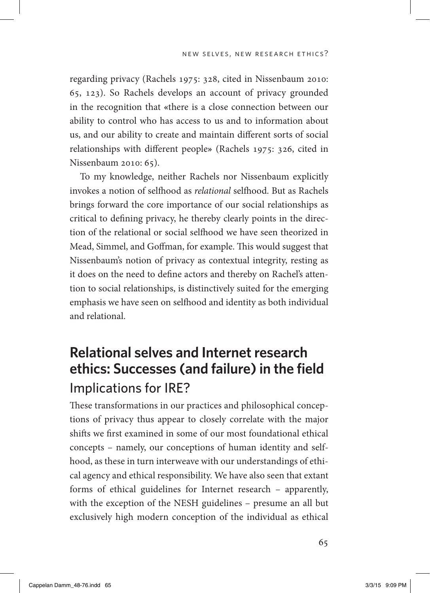regarding privacy (Rachels 1975: 328, cited in Nissenbaum 2010: 65, 123). So Rachels develops an account of privacy grounded in the recognition that **«**there is a close connection between our ability to control who has access to us and to information about us, and our ability to create and maintain different sorts of social relationships with different people**»** (Rachels 1975: 326, cited in Nissenbaum 2010: 65).

To my knowledge, neither Rachels nor Nissenbaum explicitly invokes a notion of selfhood as *relational* selfhood. But as Rachels brings forward the core importance of our social relationships as critical to defining privacy, he thereby clearly points in the direction of the relational or social selfhood we have seen theorized in Mead, Simmel, and Goffman, for example. This would suggest that Nissenbaum's notion of privacy as contextual integrity, resting as it does on the need to define actors and thereby on Rachel's attention to social relationships, is distinctively suited for the emerging emphasis we have seen on selfhood and identity as both individual and relational.

## **Relational selves and Internet research ethics: Successes (and failure) in the field** Implications for IRE?

These transformations in our practices and philosophical conceptions of privacy thus appear to closely correlate with the major shifts we first examined in some of our most foundational ethical concepts – namely, our conceptions of human identity and selfhood, as these in turn interweave with our understandings of ethical agency and ethical responsibility. We have also seen that extant forms of ethical guidelines for Internet research – apparently, with the exception of the NESH guidelines – presume an all but exclusively high modern conception of the individual as ethical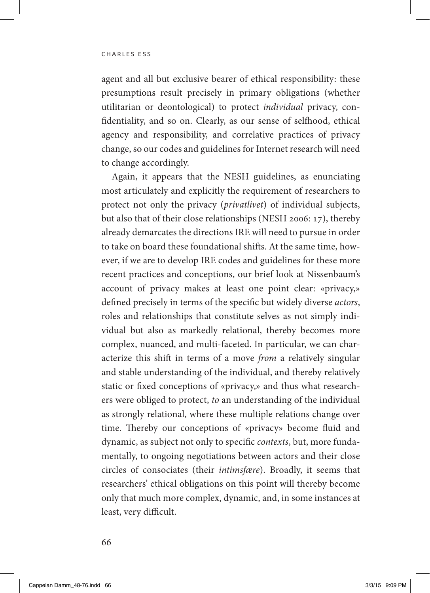agent and all but exclusive bearer of ethical responsibility: these presumptions result precisely in primary obligations (whether utilitarian or deontological) to protect *individual* privacy, confidentiality, and so on. Clearly, as our sense of selfhood, ethical agency and responsibility, and correlative practices of privacy change, so our codes and guidelines for Internet research will need to change accordingly.

Again, it appears that the NESH guidelines, as enunciating most articulately and explicitly the requirement of researchers to protect not only the privacy (*privatlivet*) of individual subjects, but also that of their close relationships (NESH 2006: 17), thereby already demarcates the directions IRE will need to pursue in order to take on board these foundational shifts. At the same time, however, if we are to develop IRE codes and guidelines for these more recent practices and conceptions, our brief look at Nissenbaum's account of privacy makes at least one point clear: «privacy,» defined precisely in terms of the specific but widely diverse *actors*, roles and relationships that constitute selves as not simply individual but also as markedly relational, thereby becomes more complex, nuanced, and multi-faceted. In particular, we can characterize this shift in terms of a move *from* a relatively singular and stable understanding of the individual, and thereby relatively static or fixed conceptions of «privacy,» and thus what researchers were obliged to protect, *to* an understanding of the individual as strongly relational, where these multiple relations change over time. Thereby our conceptions of «privacy» become fluid and dynamic, as subject not only to specific *contexts*, but, more fundamentally, to ongoing negotiations between actors and their close circles of consociates (their *intimsfære*). Broadly, it seems that researchers' ethical obligations on this point will thereby become only that much more complex, dynamic, and, in some instances at least, very difficult.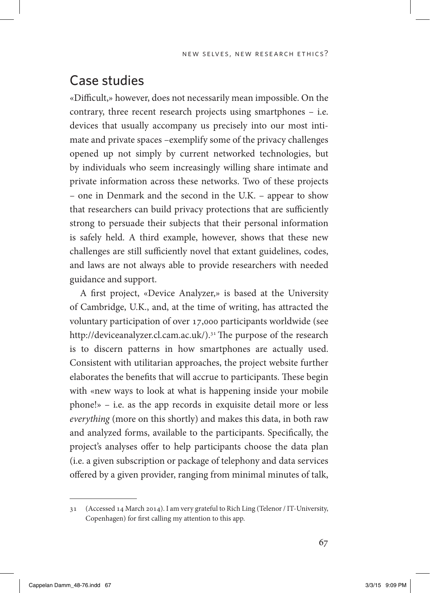#### Case studies

«Difficult,» however, does not necessarily mean impossible. On the contrary, three recent research projects using smartphones – i.e. devices that usually accompany us precisely into our most intimate and private spaces –exemplify some of the privacy challenges opened up not simply by current networked technologies, but by individuals who seem increasingly willing share intimate and private information across these networks. Two of these projects – one in Denmark and the second in the U.K. – appear to show that researchers can build privacy protections that are sufficiently strong to persuade their subjects that their personal information is safely held. A third example, however, shows that these new challenges are still sufficiently novel that extant guidelines, codes, and laws are not always able to provide researchers with needed guidance and support.

A first project, «Device Analyzer,» is based at the University of Cambridge, U.K., and, at the time of writing, has attracted the voluntary participation of over 17,000 participants worldwide (see http://deviceanalyzer.cl.cam.ac.uk/).<sup>31</sup>The purpose of the research is to discern patterns in how smartphones are actually used. Consistent with utilitarian approaches, the project website further elaborates the benefits that will accrue to participants. These begin with «new ways to look at what is happening inside your mobile phone!» – i.e. as the app records in exquisite detail more or less *everything* (more on this shortly) and makes this data, in both raw and analyzed forms, available to the participants. Specifically, the project's analyses offer to help participants choose the data plan (i.e. a given subscription or package of telephony and data services offered by a given provider, ranging from minimal minutes of talk,

<sup>31</sup> (Accessed 14 March 2014). I am very grateful to Rich Ling (Telenor / IT-University, Copenhagen) for first calling my attention to this app.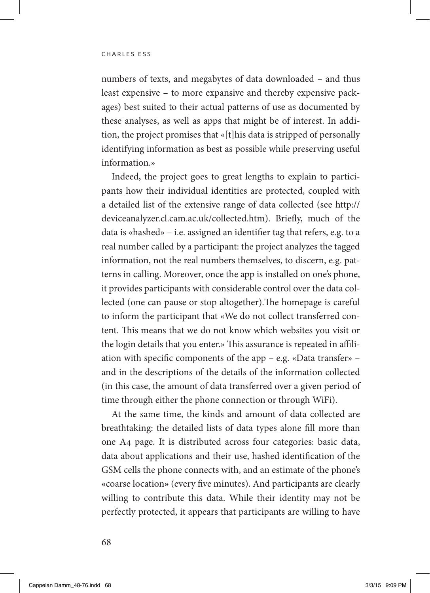numbers of texts, and megabytes of data downloaded – and thus least expensive – to more expansive and thereby expensive packages) best suited to their actual patterns of use as documented by these analyses, as well as apps that might be of interest. In addition, the project promises that «[t]his data is stripped of personally identifying information as best as possible while preserving useful information.»

Indeed, the project goes to great lengths to explain to participants how their individual identities are protected, coupled with a detailed list of the extensive range of data collected (see http:// deviceanalyzer.cl.cam.ac.uk/collected.htm). Briefly, much of the data is «hashed» – i.e. assigned an identifier tag that refers, e.g. to a real number called by a participant: the project analyzes the tagged information, not the real numbers themselves, to discern, e.g. patterns in calling. Moreover, once the app is installed on one's phone, it provides participants with considerable control over the data collected (one can pause or stop altogether).The homepage is careful to inform the participant that «We do not collect transferred content. This means that we do not know which websites you visit or the login details that you enter.» This assurance is repeated in affiliation with specific components of the app – e.g. «Data transfer» – and in the descriptions of the details of the information collected (in this case, the amount of data transferred over a given period of time through either the phone connection or through WiFi).

At the same time, the kinds and amount of data collected are breathtaking: the detailed lists of data types alone fill more than one A4 page. It is distributed across four categories: basic data, data about applications and their use, hashed identification of the GSM cells the phone connects with, and an estimate of the phone's **«**coarse location**»** (every five minutes). And participants are clearly willing to contribute this data. While their identity may not be perfectly protected, it appears that participants are willing to have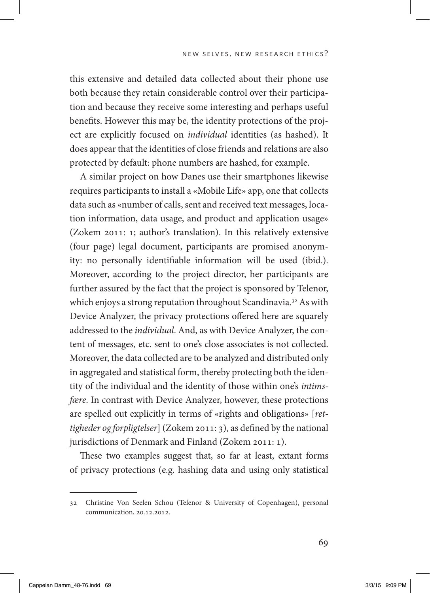this extensive and detailed data collected about their phone use both because they retain considerable control over their participation and because they receive some interesting and perhaps useful benefits. However this may be, the identity protections of the project are explicitly focused on *individual* identities (as hashed). It does appear that the identities of close friends and relations are also protected by default: phone numbers are hashed, for example.

A similar project on how Danes use their smartphones likewise requires participants to install a «Mobile Life» app, one that collects data such as «number of calls, sent and received text messages, location information, data usage, and product and application usage» (Zokem 2011: 1; author's translation). In this relatively extensive (four page) legal document, participants are promised anonymity: no personally identifiable information will be used (ibid.). Moreover, according to the project director, her participants are further assured by the fact that the project is sponsored by Telenor, which enjoys a strong reputation throughout Scandinavia.<sup>32</sup> As with Device Analyzer, the privacy protections offered here are squarely addressed to the *individual*. And, as with Device Analyzer, the content of messages, etc. sent to one's close associates is not collected. Moreover, the data collected are to be analyzed and distributed only in aggregated and statistical form, thereby protecting both the identity of the individual and the identity of those within one's *intimsfære*. In contrast with Device Analyzer, however, these protections are spelled out explicitly in terms of «rights and obligations» [*rettigheder og forpligtelser*] (Zokem 2011: 3), as defined by the national jurisdictions of Denmark and Finland (Zokem 2011: 1).

These two examples suggest that, so far at least, extant forms of privacy protections (e.g. hashing data and using only statistical

<sup>32</sup> Christine Von Seelen Schou (Telenor & University of Copenhagen), personal communication, 20.12.2012.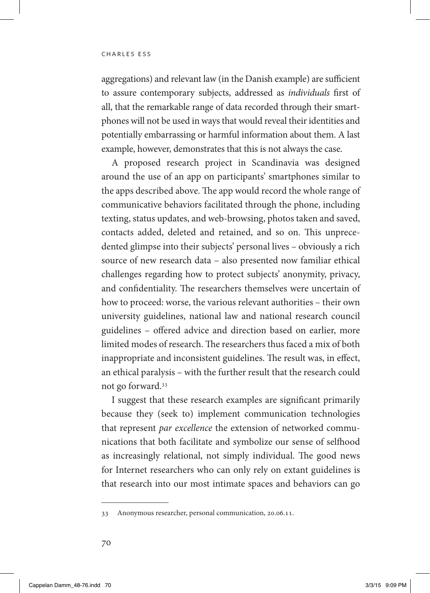aggregations) and relevant law (in the Danish example) are sufficient to assure contemporary subjects, addressed as *individuals* first of all, that the remarkable range of data recorded through their smartphones will not be used in ways that would reveal their identities and potentially embarrassing or harmful information about them. A last example, however, demonstrates that this is not always the case.

A proposed research project in Scandinavia was designed around the use of an app on participants' smartphones similar to the apps described above. The app would record the whole range of communicative behaviors facilitated through the phone, including texting, status updates, and web-browsing, photos taken and saved, contacts added, deleted and retained, and so on. This unprecedented glimpse into their subjects' personal lives – obviously a rich source of new research data – also presented now familiar ethical challenges regarding how to protect subjects' anonymity, privacy, and confidentiality. The researchers themselves were uncertain of how to proceed: worse, the various relevant authorities – their own university guidelines, national law and national research council guidelines – offered advice and direction based on earlier, more limited modes of research. The researchers thus faced a mix of both inappropriate and inconsistent guidelines. The result was, in effect, an ethical paralysis – with the further result that the research could not go forward.33

I suggest that these research examples are significant primarily because they (seek to) implement communication technologies that represent *par excellence* the extension of networked communications that both facilitate and symbolize our sense of selfhood as increasingly relational, not simply individual. The good news for Internet researchers who can only rely on extant guidelines is that research into our most intimate spaces and behaviors can go

<sup>33</sup> Anonymous researcher, personal communication, 20.06.11.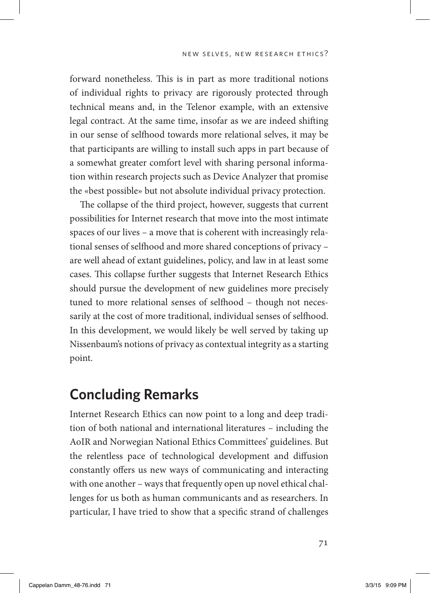forward nonetheless. This is in part as more traditional notions of individual rights to privacy are rigorously protected through technical means and, in the Telenor example, with an extensive legal contract. At the same time, insofar as we are indeed shifting in our sense of selfhood towards more relational selves, it may be that participants are willing to install such apps in part because of a somewhat greater comfort level with sharing personal information within research projects such as Device Analyzer that promise the «best possible» but not absolute individual privacy protection.

The collapse of the third project, however, suggests that current possibilities for Internet research that move into the most intimate spaces of our lives – a move that is coherent with increasingly relational senses of selfhood and more shared conceptions of privacy – are well ahead of extant guidelines, policy, and law in at least some cases. This collapse further suggests that Internet Research Ethics should pursue the development of new guidelines more precisely tuned to more relational senses of selfhood – though not necessarily at the cost of more traditional, individual senses of selfhood. In this development, we would likely be well served by taking up Nissenbaum's notions of privacy as contextual integrity as a starting point.

#### **Concluding Remarks**

Internet Research Ethics can now point to a long and deep tradition of both national and international literatures – including the AoIR and Norwegian National Ethics Committees' guidelines. But the relentless pace of technological development and diffusion constantly offers us new ways of communicating and interacting with one another – ways that frequently open up novel ethical challenges for us both as human communicants and as researchers. In particular, I have tried to show that a specific strand of challenges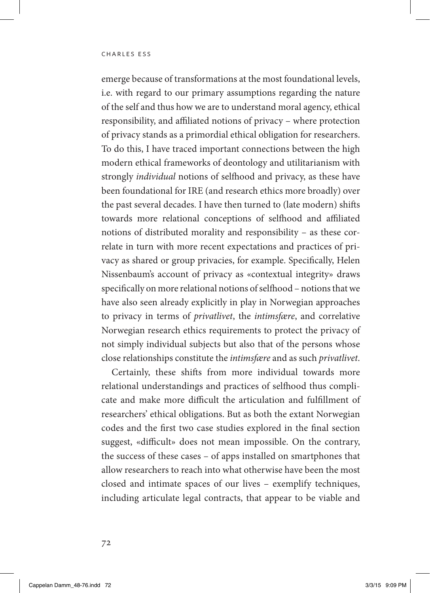emerge because of transformations at the most foundational levels, i.e. with regard to our primary assumptions regarding the nature of the self and thus how we are to understand moral agency, ethical responsibility, and affiliated notions of privacy – where protection of privacy stands as a primordial ethical obligation for researchers. To do this, I have traced important connections between the high modern ethical frameworks of deontology and utilitarianism with strongly *individual* notions of selfhood and privacy, as these have been foundational for IRE (and research ethics more broadly) over the past several decades. I have then turned to (late modern) shifts towards more relational conceptions of selfhood and affiliated notions of distributed morality and responsibility – as these correlate in turn with more recent expectations and practices of privacy as shared or group privacies, for example. Specifically, Helen Nissenbaum's account of privacy as «contextual integrity» draws specifically on more relational notions of selfhood – notions that we have also seen already explicitly in play in Norwegian approaches to privacy in terms of *privatlivet*, the *intimsfære*, and correlative Norwegian research ethics requirements to protect the privacy of not simply individual subjects but also that of the persons whose close relationships constitute the *intimsfære* and as such *privatlivet*.

Certainly, these shifts from more individual towards more relational understandings and practices of selfhood thus complicate and make more difficult the articulation and fulfillment of researchers' ethical obligations. But as both the extant Norwegian codes and the first two case studies explored in the final section suggest, «difficult» does not mean impossible. On the contrary, the success of these cases – of apps installed on smartphones that allow researchers to reach into what otherwise have been the most closed and intimate spaces of our lives – exemplify techniques, including articulate legal contracts, that appear to be viable and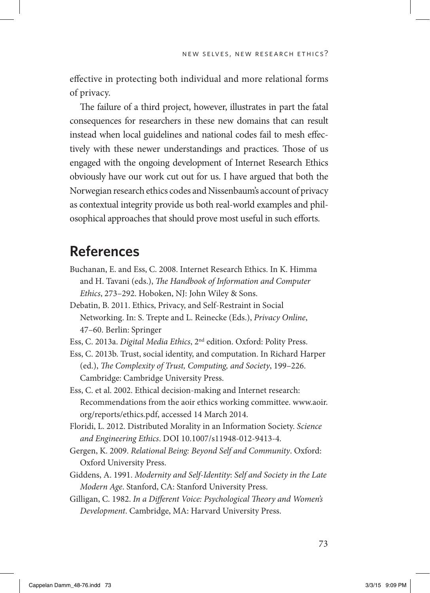effective in protecting both individual and more relational forms of privacy.

The failure of a third project, however, illustrates in part the fatal consequences for researchers in these new domains that can result instead when local guidelines and national codes fail to mesh effectively with these newer understandings and practices. Those of us engaged with the ongoing development of Internet Research Ethics obviously have our work cut out for us. I have argued that both the Norwegian research ethics codes and Nissenbaum's account of privacy as contextual integrity provide us both real-world examples and philosophical approaches that should prove most useful in such efforts.

#### **References**

- Buchanan, E. and Ess, C. 2008. Internet Research Ethics. In K. Himma and H. Tavani (eds.), *The Handbook of Information and Computer Ethics*, 273–292. Hoboken, NJ: John Wiley & Sons.
- Debatin, B. 2011. Ethics, Privacy, and Self-Restraint in Social Networking. In: S. Trepte and L. Reinecke (Eds.), *Privacy Online*, 47–60. Berlin: Springer
- Ess, C. 2013a. *Digital Media Ethics*, 2nd edition. Oxford: Polity Press.
- Ess, C. 2013b. Trust, social identity, and computation. In Richard Harper (ed.), *The Complexity of Trust, Computing, and Society*, 199–226. Cambridge: Cambridge University Press.
- Ess, C. et al. 2002. Ethical decision-making and Internet research: Recommendations from the aoir ethics working committee. [www.aoir.](www.aoir.org/reports/ethics.pdf) [org/reports/ethics.pdf](www.aoir.org/reports/ethics.pdf), accessed 14 March 2014.
- Floridi, L. 2012. Distributed Morality in an Information Society. *Science and Engineering Ethics*.<DOI 10.1007/s11948-012-9413-4>.
- Gergen, K. 2009. *Relational Being: Beyond Self and Community*. Oxford: Oxford University Press.
- Giddens, A. 1991. *Modernity and Self-Identity*: *Self and Society in the Late Modern Age*. Stanford, CA: Stanford University Press.
- Gilligan, C. 1982. *In a Different Voice: Psychological Theory and Women's Development*. Cambridge, MA: Harvard University Press.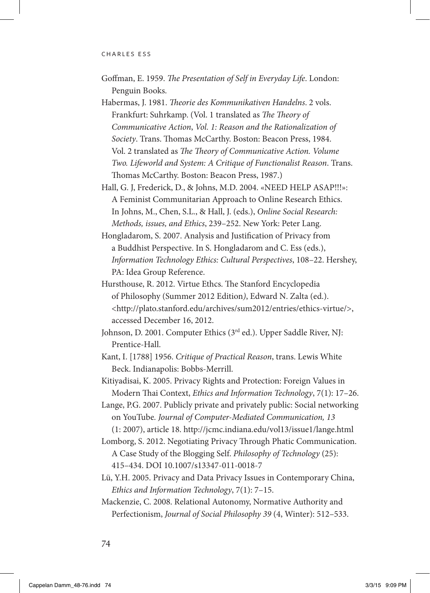- Goffman, E. 1959. *The Presentation of Self in Everyday Life*. London: Penguin Books.
- Habermas, J. 1981. *Theorie des Kommunikativen Handelns*. 2 vols. Frankfurt: Suhrkamp. (Vol. 1 translated as *The Theory of Communicative Action*, *Vol. 1: Reason and the Rationalization of Society*. Trans. Thomas McCarthy. Boston: Beacon Press, 1984. Vol. 2 translated as *The Theory of Communicative Action. Volume Two. Lifeworld and System: A Critique of Functionalist Reason*. Trans. Thomas McCarthy. Boston: Beacon Press, 1987.)
- Hall, G. J, Frederick, D., & Johns, M.D. 2004. «NEED HELP ASAP!!!»: A Feminist Communitarian Approach to Online Research Ethics. In Johns, M., Chen, S.L., & Hall, J. (eds.), *Online Social Research: Methods, issues, and Ethics*, 239–252. New York: Peter Lang.
- Hongladarom, S. 2007. Analysis and Justification of Privacy from a Buddhist Perspective. In S. Hongladarom and C. Ess (eds.), *Information Technology Ethics: Cultural Perspectives*, 108–22. Hershey, PA: Idea Group Reference.
- Hursthouse, R. 2012. Virtue Ethcs. The Stanford Encyclopedia of Philosophy (Summer 2012 Edition*)*, Edward N. Zalta (ed.). [<http://plato.stanford.edu/archives/sum2012/entries/ethics-virtue/](http://plato.stanford.edu/archives/sum2012/entries/ethics-virtue/)>, accessed December 16, 2012.
- Johnson, D. 2001. Computer Ethics (3rd ed.). Upper Saddle River, NJ: Prentice-Hall.
- Kant, I. [1788] 1956. *Critique of Practical Reason*, trans. Lewis White Beck. Indianapolis: Bobbs-Merrill.
- Kitiyadisai, K. 2005. Privacy Rights and Protection: Foreign Values in Modern Thai Context, *Ethics and Information Technology*, 7(1): 17–26.
- Lange, P.G. 2007. Publicly private and privately public: Social networking on YouTube*. Journal of Computer-Mediated Communication, 13* (1: 2007), article 18.<http://jcmc.indiana.edu/vol13/issue1/lange.html>
- Lomborg, S. 2012. Negotiating Privacy Through Phatic Communication. A Case Study of the Blogging Self. *Philosophy of Technology* (25): 415–434.<DOI 10.1007/s13347-011-0018-7>
- Lü, Y.H. 2005. Privacy and Data Privacy Issues in Contemporary China, *Ethics and Information Technology*, 7(1): 7–15.
- Mackenzie, C. 2008. Relational Autonomy, Normative Authority and Perfectionism, *Journal of Social Philosophy 39* (4, Winter): 512–533.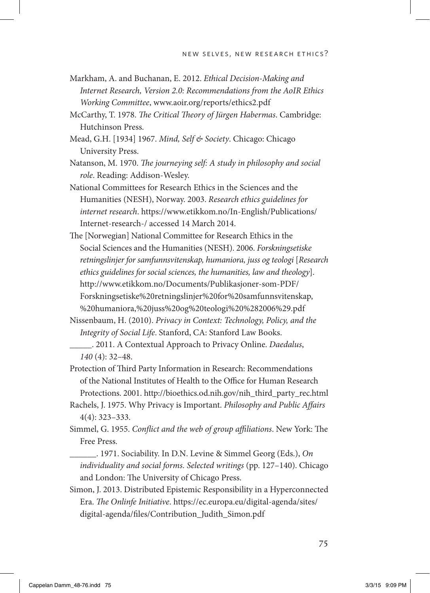- Markham, A. and Buchanan, E. 2012. *Ethical Decision-Making and Internet Research, Version 2.0: Recommendations from the AoIR Ethics Working Committee*, <www.aoir.org/reports/ethics2.pdf>
- McCarthy, T. 1978. *The Critical Theory of Jürgen Habermas*. Cambridge: Hutchinson Press.
- Mead, G.H. [1934] 1967. *Mind, Self & Society*. Chicago: Chicago University Press.
- Natanson, M. 1970. *The journeying self: A study in philosophy and social role*. Reading: Addison-Wesley.
- National Committees for Research Ethics in the Sciences and the Humanities (NESH), Norway. 2003. *Research ethics guidelines for internet research*. [https://www.etikkom.no/In-English/Publications/](https://www.etikkom.no/In-English/Publications/Internet-research-/) [Internet-research-/](https://www.etikkom.no/In-English/Publications/Internet-research-/) accessed 14 March 2014.
- The [Norwegian] National Committee for Research Ethics in the Social Sciences and the Humanities (NESH). 2006. *Forskningsetiske retningslinjer for samfunnsvitenskap, humaniora, juss og teologi* [*Research ethics guidelines for social sciences, the humanities, law and theology*]. [http://www.etikkom.no/Documents/Publikasjoner-som-PDF/](http://www.etikkom.no/Documents/Publikasjoner-som-PDF/Forskningsetiske%20retningslinjer%20for%20samfunnsvitenskap,%20humaniora,%20juss%20og%20teologi%20%282006%29.pdf) [Forskningsetiske%20retningslinjer%20for%20samfunnsvitenskap,](http://www.etikkom.no/Documents/Publikasjoner-som-PDF/Forskningsetiske%20retningslinjer%20for%20samfunnsvitenskap,%20humaniora,%20juss%20og%20teologi%20%282006%29.pdf) [%20humaniora,%20juss%20og%20teologi%20%282006%29.pdf](http://www.etikkom.no/Documents/Publikasjoner-som-PDF/Forskningsetiske%20retningslinjer%20for%20samfunnsvitenskap,%20humaniora,%20juss%20og%20teologi%20%282006%29.pdf)
- Nissenbaum, H. (2010). *Privacy in Context: Technology, Policy, and the Integrity of Social Life*. Stanford, CA: Stanford Law Books.
	- \_\_\_\_\_. 2011. A Contextual Approach to Privacy Online. *Daedalus*, *140* (4): 32–48.
- Protection of Third Party Information in Research: Recommendations of the National Institutes of Health to the Office for Human Research Protections. 2001. [http://bioethics.od.nih.gov/nih\\_third\\_party\\_rec.html](http://bioethics.od.nih.gov/nih_third_party_rec.html)
- Rachels, J. 1975. Why Privacy is Important. *Philosophy and Public Affairs* 4(4): 323–333.
- Simmel, G. 1955. *Conflict and the web of group affiliations*. New York: The Free Press.
	- \_\_\_\_\_\_. 1971. Sociability. In D.N. Levine & Simmel Georg (Eds.), *On individuality and social forms. Selected writings* (pp. 127–140). Chicago and London: The University of Chicago Press.
- Simon, J. 2013. Distributed Epistemic Responsibility in a Hyperconnected Era. *The Onlinfe Initiative*. [https://ec.europa.eu/digital-agenda/sites/](https://ec.europa.eu/digital-agenda/sites/digital-agenda/files/Contribution_Judith_Simon.pdf) [digital-agenda/files/Contribution\\_Judith\\_Simon.pdf](https://ec.europa.eu/digital-agenda/sites/digital-agenda/files/Contribution_Judith_Simon.pdf)